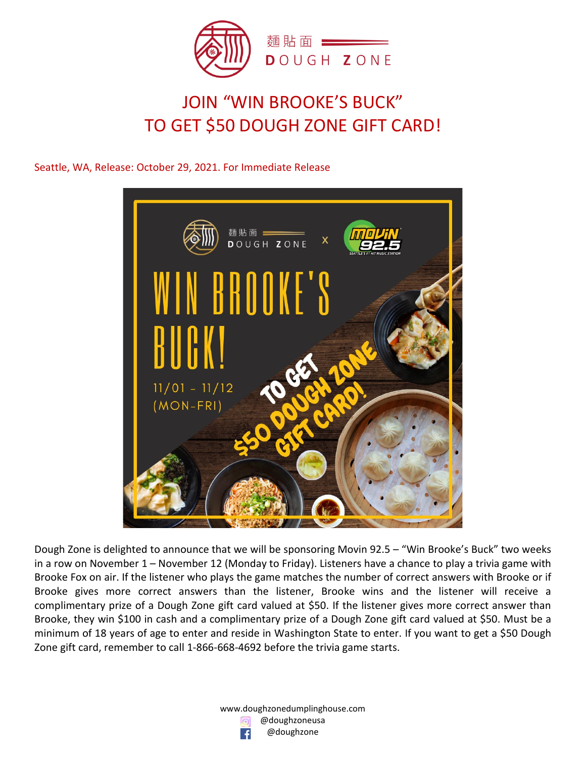

# JOIN "WIN BROOKE'S BUCK" TO GET \$50 DOUGH ZONE GIFT CARD!

Seattle, WA, Release: October 29, 2021. For Immediate Release



Dough Zone is delighted to announce that we will be sponsoring Movin 92.5 – "Win Brooke's Buck" two weeks in a row on November 1 – November 12 (Monday to Friday). Listeners have a chance to play a trivia game with Brooke Fox on air. If the listener who plays the game matches the number of correct answers with Brooke or if Brooke gives more correct answers than the listener, Brooke wins and the listener will receive a complimentary prize of a Dough Zone gift card valued at \$50. If the listener gives more correct answer than Brooke, they win \$100 in cash and a complimentary prize of a Dough Zone gift card valued at \$50. Must be a minimum of 18 years of age to enter and reside in Washington State to enter. If you want to get a \$50 Dough Zone gift card, remember to call 1-866-668-4692 before the trivia game starts.

> www.doughzonedumplinghouse.com @doughzoneusa @doughzone  $\left| \right|$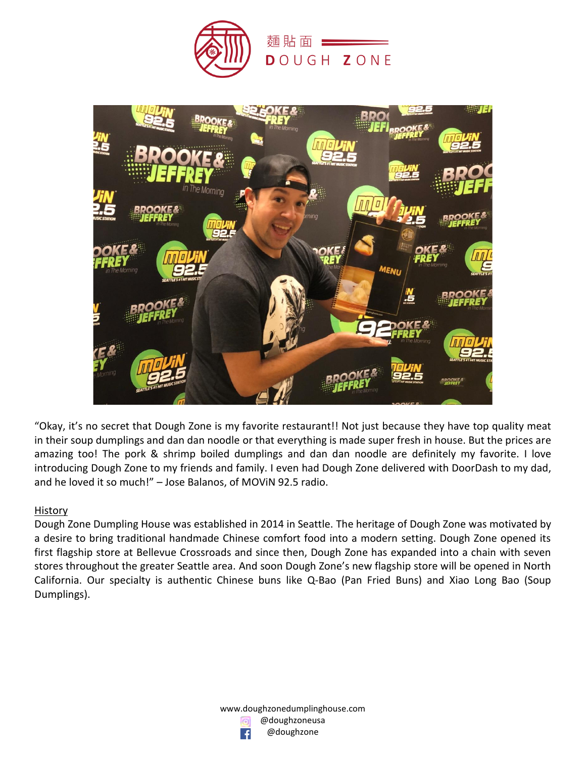



"Okay, it's no secret that Dough Zone is my favorite restaurant!! Not just because they have top quality meat in their soup dumplings and dan dan noodle or that everything is made super fresh in house. But the prices are amazing too! The pork & shrimp boiled dumplings and dan dan noodle are definitely my favorite. I love introducing Dough Zone to my friends and family. I even had Dough Zone delivered with DoorDash to my dad, and he loved it so much!" – Jose Balanos, of MOViN 92.5 radio.

#### **History**

Dough Zone Dumpling House was established in 2014 in Seattle. The heritage of Dough Zone was motivated by a desire to bring traditional handmade Chinese comfort food into a modern setting. Dough Zone opened its first flagship store at Bellevue Crossroads and since then, Dough Zone has expanded into a chain with seven stores throughout the greater Seattle area. And soon Dough Zone's new flagship store will be opened in North California. Our specialty is authentic Chinese buns like Q-Bao (Pan Fried Buns) and Xiao Long Bao (Soup Dumplings).

> www.doughzonedumplinghouse.com @doughzoneusa @doughzone ∣ f∣